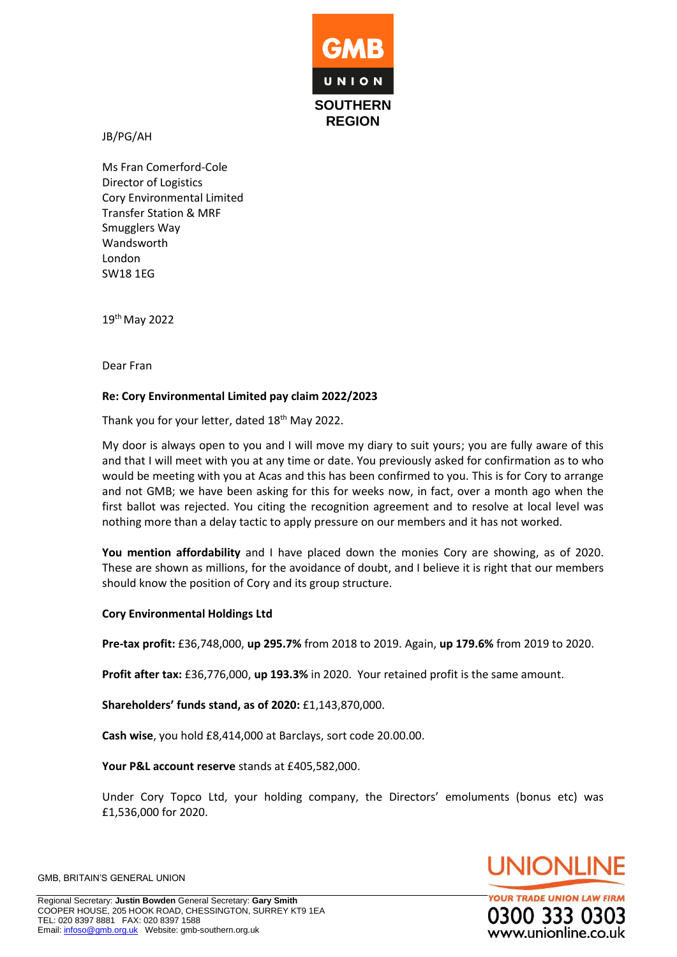

JB/PG/AH

Ms Fran Comerford-Cole Director of Logistics Cory Environmental Limited Transfer Station & MRF Smugglers Way Wandsworth London SW18 1EG

19 th May 2022

Dear Fran

## **Re: Cory Environmental Limited pay claim 2022/2023**

Thank you for your letter, dated 18<sup>th</sup> May 2022.

My door is always open to you and I will move my diary to suit yours; you are fully aware of this and that I will meet with you at any time or date. You previously asked for confirmation as to who would be meeting with you at Acas and this has been confirmed to you. This is for Cory to arrange and not GMB; we have been asking for this for weeks now, in fact, over a month ago when the first ballot was rejected. You citing the recognition agreement and to resolve at local level was nothing more than a delay tactic to apply pressure on our members and it has not worked.

**You mention affordability** and I have placed down the monies Cory are showing, as of 2020. These are shown as millions, for the avoidance of doubt, and I believe it is right that our members should know the position of Cory and its group structure.

## **Cory Environmental Holdings Ltd**

**Pre-tax profit:** £36,748,000, **up 295.7%** from 2018 to 2019. Again, **up 179.6%** from 2019 to 2020.

**Profit after tax:** £36,776,000, **up 193.3%** in 2020. Your retained profit is the same amount.

**Shareholders' funds stand, as of 2020:** £1,143,870,000.

**Cash wise**, you hold £8,414,000 at Barclays, sort code 20.00.00.

**Your P&L account reserve** stands at £405,582,000.

Under Cory Topco Ltd, your holding company, the Directors' emoluments (bonus etc) was £1,536,000 for 2020.



**YOUR TRADE UNION LAW FIRM** 0300 333 030 www.unionline.co.uk

GMB, BRITAIN'S GENERAL UNION